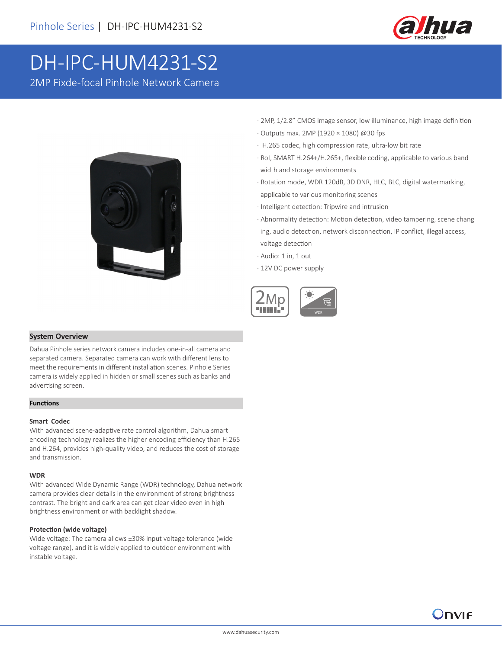

# DH-IPC-HUM4231-S2

2MP Fixde-focal Pinhole Network Camera



- · 2MP, 1/2.8" CMOS image sensor, low illuminance, high image definition
- · Outputs max. 2MP (1920 × 1080) @30 fps
- · H.265 codec, high compression rate, ultra-low bit rate
- · RoI, SMART H.264+/H.265+, flexible coding, applicable to various band width and storage environments
- · Rotation mode, WDR 120dB, 3D DNR, HLC, BLC, digital watermarking, applicable to various monitoring scenes
- · Intelligent detection: Tripwire and intrusion
- · Abnormality detection: Motion detection, video tampering, scene chang ing, audio detection, network disconnection, IP conflict, illegal access, voltage detection
- 
- · Audio: 1 in, 1 out · 12V DC power supply
- 



### **System Overview**

Dahua Pinhole series network camera includes one-in-all camera and separated camera. Separated camera can work with different lens to meet the requirements in different installation scenes. Pinhole Series camera is widely applied in hidden or small scenes such as banks and advertising screen.

#### **Functions**

#### **Smart Codec**

With advanced scene-adaptive rate control algorithm, Dahua smart encoding technology realizes the higher encoding efficiency than H.265 and H.264, provides high-quality video, and reduces the cost of storage and transmission.

#### **WDR**

With advanced Wide Dynamic Range (WDR) technology, Dahua network camera provides clear details in the environment of strong brightness contrast. The bright and dark area can get clear video even in high brightness environment or with backlight shadow.

#### **Protection (wide voltage)**

Wide voltage: The camera allows ±30% input voltage tolerance (wide voltage range), and it is widely applied to outdoor environment with instable voltage.

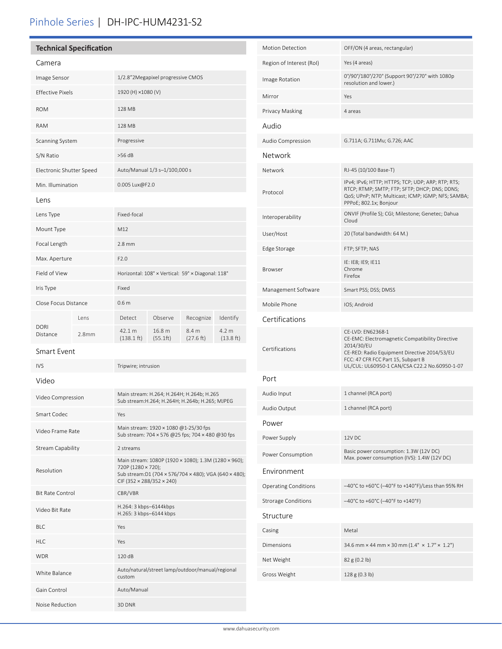# Pinhole Series | DH-IPC-HUM4231-S2

# **Technical Specification**

| Camera                   |       |                                                   |                    |                    |                               |
|--------------------------|-------|---------------------------------------------------|--------------------|--------------------|-------------------------------|
| Image Sensor             |       | 1/2.8"2Megapixel progressive CMOS                 |                    |                    |                               |
| <b>Effective Pixels</b>  |       | 1920 (H) ×1080 (V)                                |                    |                    |                               |
| <b>ROM</b>               |       | 128 MB                                            |                    |                    |                               |
| <b>RAM</b>               |       | 128 MB                                            |                    |                    |                               |
| <b>Scanning System</b>   |       | Progressive                                       |                    |                    |                               |
| S/N Ratio                |       | $>56$ dB                                          |                    |                    |                               |
| Electronic Shutter Speed |       | Auto/Manual 1/3 s-1/100,000 s                     |                    |                    |                               |
| Min. Illumination        |       | 0.005 Lux@F2.0                                    |                    |                    |                               |
| Lens                     |       |                                                   |                    |                    |                               |
| Lens Type                |       | Fixed-focal                                       |                    |                    |                               |
| Mount Type               |       | M12                                               |                    |                    |                               |
| Focal Length             |       | $2.8$ mm                                          |                    |                    |                               |
| Max. Aperture            |       | F2.0                                              |                    |                    |                               |
| Field of View            |       | Horizontal: 108° × Vertical: 59° × Diagonal: 118° |                    |                    |                               |
| Iris Type                |       | Fixed                                             |                    |                    |                               |
| Close Focus Distance     |       | 0.6 <sub>m</sub>                                  |                    |                    |                               |
| <b>DORI</b><br>Distance  | l ens | Detect                                            | Observe            | Recognize          | Identify                      |
|                          | 2.8mm | 42.1 m<br>$(138.1 \text{ ft})$                    | 16.8 m<br>(55.1ft) | 8.4 m<br>(27.6 ft) | 4.2 <sub>m</sub><br>(13.8 ft) |
|                          |       |                                                   |                    |                    |                               |

Smart Event

| <b>IVS</b>              | Tripwire; intrusion                                                                                                                                              |  |  |  |
|-------------------------|------------------------------------------------------------------------------------------------------------------------------------------------------------------|--|--|--|
| Video                   |                                                                                                                                                                  |  |  |  |
| Video Compression       | Main stream: H.264; H.264H; H.264b; H.265<br>Sub stream: H.264; H.264H; H.264b; H.265; MJPEG                                                                     |  |  |  |
| Smart Codec             | Yes                                                                                                                                                              |  |  |  |
| Video Frame Rate        | Main stream: 1920 × 1080 @1-25/30 fps<br>Sub stream: 704 × 576 @25 fps; 704 × 480 @30 fps                                                                        |  |  |  |
| Stream Capability       | 2 streams                                                                                                                                                        |  |  |  |
| Resolution              | Main stream: 1080P (1920 × 1080); 1.3M (1280 × 960);<br>720P (1280 × 720);<br>Sub stream:D1 (704 x 576/704 x 480); VGA (640 x 480);<br>CIF (352 × 288/352 × 240) |  |  |  |
| <b>Bit Rate Control</b> | CBR/VBR                                                                                                                                                          |  |  |  |
| Video Bit Rate          | H.264: 3 kbps-6144kbps<br>H.265: 3 kbps-6144 kbps                                                                                                                |  |  |  |
| BI C                    | Yes                                                                                                                                                              |  |  |  |
| HIC                     | Yes                                                                                                                                                              |  |  |  |
| <b>WDR</b>              | 120 dB                                                                                                                                                           |  |  |  |
| White Balance           | Auto/natural/street lamp/outdoor/manual/regional<br>custom                                                                                                       |  |  |  |
| Gain Control            | Auto/Manual                                                                                                                                                      |  |  |  |
| Noise Reduction         | 3D DNR                                                                                                                                                           |  |  |  |

| <b>Motion Detection</b>     | OFF/ON (4 areas, rectangular)                                                                                                                                                                                             |  |  |  |  |
|-----------------------------|---------------------------------------------------------------------------------------------------------------------------------------------------------------------------------------------------------------------------|--|--|--|--|
| Region of Interest (RoI)    | Yes (4 areas)                                                                                                                                                                                                             |  |  |  |  |
| Image Rotation              | 0°/90°/180°/270° (Support 90°/270° with 1080p<br>resolution and lower.)                                                                                                                                                   |  |  |  |  |
| Mirror                      | Yes                                                                                                                                                                                                                       |  |  |  |  |
| Privacy Masking             | 4 areas                                                                                                                                                                                                                   |  |  |  |  |
| Audio                       |                                                                                                                                                                                                                           |  |  |  |  |
| Audio Compression           | G.711A; G.711Mu; G.726; AAC                                                                                                                                                                                               |  |  |  |  |
| Network                     |                                                                                                                                                                                                                           |  |  |  |  |
| Network                     | RJ-45 (10/100 Base-T)                                                                                                                                                                                                     |  |  |  |  |
| Protocol                    | IPv4; IPv6; HTTP; HTTPS; TCP; UDP; ARP; RTP; RTS;<br>RTCP; RTMP; SMTP; FTP; SFTP; DHCP; DNS; DDNS;<br>QoS; UPnP; NTP; Multicast; ICMP; IGMP; NFS; SAMBA;<br>PPPoE; 802.1x; Bonjour                                        |  |  |  |  |
| Interoperability            | ONVIF (Profile S); CGI; Milestone; Genetec; Dahua<br>Cloud                                                                                                                                                                |  |  |  |  |
| User/Host                   | 20 (Total bandwidth: 64 M.)                                                                                                                                                                                               |  |  |  |  |
| Edge Storage                | FTP; SFTP; NAS                                                                                                                                                                                                            |  |  |  |  |
| <b>Browser</b>              | IE: IE8; IE9; IE11<br>Chrome<br>Firefox                                                                                                                                                                                   |  |  |  |  |
| Management Software         | Smart PSS; DSS; DMSS                                                                                                                                                                                                      |  |  |  |  |
| Mobile Phone                | IOS; Android                                                                                                                                                                                                              |  |  |  |  |
| Certifications              |                                                                                                                                                                                                                           |  |  |  |  |
| Certifications              | CE-LVD: EN62368-1<br>CE-EMC: Electromagnetic Compatibility Directive<br>2014/30/EU<br>CE-RED: Radio Equipment Directive 2014/53/EU<br>FCC: 47 CFR FCC Part 15, Subpart B<br>UL/CUL: UL60950-1 CAN/CSA C22.2 No.60950-1-07 |  |  |  |  |
| Port                        |                                                                                                                                                                                                                           |  |  |  |  |
| Audio Input                 | 1 channel (RCA port)                                                                                                                                                                                                      |  |  |  |  |
| Audio Output                | 1 channel (RCA port)                                                                                                                                                                                                      |  |  |  |  |
| Power                       |                                                                                                                                                                                                                           |  |  |  |  |
| Power Supply                | 12V DC                                                                                                                                                                                                                    |  |  |  |  |
| Power Consumption           | Basic power consumption: 1.3W (12V DC)<br>Max. power consumption (IVS): 1.4W (12V DC)                                                                                                                                     |  |  |  |  |
| Environment                 |                                                                                                                                                                                                                           |  |  |  |  |
| <b>Operating Conditions</b> | -40°C to +60°C (-40°F to +140°F)/Less than 95% RH                                                                                                                                                                         |  |  |  |  |
| <b>Strorage Conditions</b>  | $-40^{\circ}$ C to +60 $^{\circ}$ C (-40 $^{\circ}$ F to +140 $^{\circ}$ F)                                                                                                                                               |  |  |  |  |
| Structure                   |                                                                                                                                                                                                                           |  |  |  |  |
| Casing                      | Metal                                                                                                                                                                                                                     |  |  |  |  |
| Dimensions                  | 34.6 mm $\times$ 44 mm $\times$ 30 mm (1.4" $\times$ 1.7" $\times$ 1.2")                                                                                                                                                  |  |  |  |  |
| Net Weight                  | 82 g (0.2 lb)                                                                                                                                                                                                             |  |  |  |  |
| Gross Weight                | 128 g (0.3 lb)                                                                                                                                                                                                            |  |  |  |  |